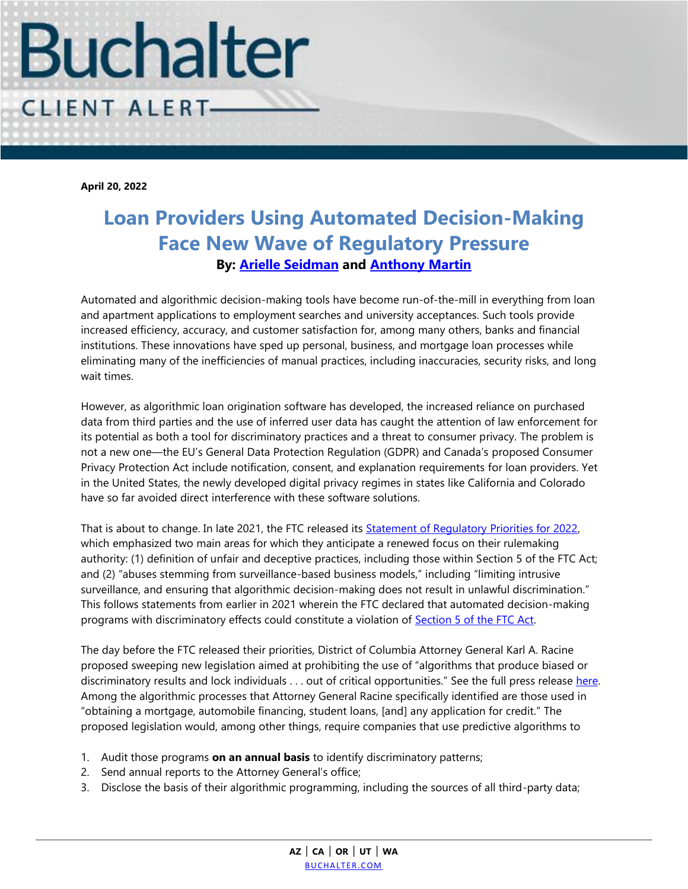

**April 20, 2022**

## **Loan Providers Using Automated Decision-Making Face New Wave of Regulatory Pressure By: [Arielle Seidman](https://www.buchalter.com/attorneys/arielle-a-seidman/#bio) and [Anthony Martin](https://www.buchalter.com/attorneys/anthony-martin/#bio)**

Automated and algorithmic decision-making tools have become run-of-the-mill in everything from loan and apartment applications to employment searches and university acceptances. Such tools provide increased efficiency, accuracy, and customer satisfaction for, among many others, banks and financial institutions. These innovations have sped up personal, business, and mortgage loan processes while eliminating many of the inefficiencies of manual practices, including inaccuracies, security risks, and long wait times.

However, as algorithmic loan origination software has developed, the increased reliance on purchased data from third parties and the use of inferred user data has caught the attention of law enforcement for its potential as both a tool for discriminatory practices and a threat to consumer privacy. The problem is not a new one—the EU's General Data Protection Regulation (GDPR) and Canada's proposed Consumer Privacy Protection Act include notification, consent, and explanation requirements for loan providers. Yet in the United States, the newly developed digital privacy regimes in states like California and Colorado have so far avoided direct interference with these software solutions.

That is about to change. In late 2021, the FTC released its [Statement of Regulatory Priorities for 2022,](file://///lafilesrv1/MKTING/2022%20Client%20Alerts/available%20at%20https:/www.reginfo.gov/public/jsp/eAgenda/StaticContent/202110/Statement_3084_FTC.pdf)  which emphasized two main areas for which they anticipate a renewed focus on their rulemaking authority: (1) definition of unfair and deceptive practices, including those within Section 5 of the FTC Act; and (2) "abuses stemming from surveillance-based business models," including "limiting intrusive surveillance, and ensuring that algorithmic decision-making does not result in unlawful discrimination." This follows statements from earlier in 2021 wherein the FTC declared that automated decision-making programs with discriminatory effects could constitute a violation of [Section 5 of the FTC Act.](https://www.ftc.gov/business-guidance/blog/2021/04/aiming-truth-fairness-equity-your-companys-use-ai.)

The day before the FTC released their priorities, District of Columbia Attorney General Karl A. Racine proposed sweeping new legislation aimed at prohibiting the use of "algorithms that produce biased or discriminatory results and lock individuals . . . out of critical opportunities." See the full press release [here.](https://oag.dc.gov/release/ag-racine-introduces-legislation-stop)  Among the algorithmic processes that Attorney General Racine specifically identified are those used in "obtaining a mortgage, automobile financing, student loans, [and] any application for credit." The proposed legislation would, among other things, require companies that use predictive algorithms to

- 1. Audit those programs **on an annual basis** to identify discriminatory patterns;
- 2. Send annual reports to the Attorney General's office;
- 3. Disclose the basis of their algorithmic programming, including the sources of all third-party data;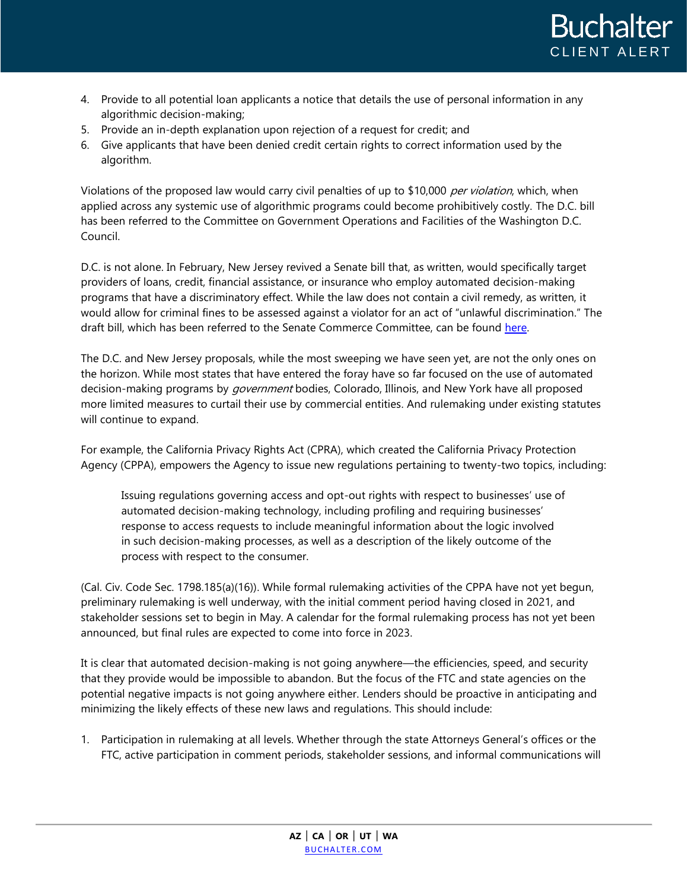

- 4. Provide to all potential loan applicants a notice that details the use of personal information in any algorithmic decision-making;
- 5. Provide an in-depth explanation upon rejection of a request for credit; and
- 6. Give applicants that have been denied credit certain rights to correct information used by the algorithm.

Violations of the proposed law would carry civil penalties of up to \$10,000 per violation, which, when applied across any systemic use of algorithmic programs could become prohibitively costly. The D.C. bill has been referred to the Committee on Government Operations and Facilities of the Washington D.C. Council.

D.C. is not alone. In February, New Jersey revived a Senate bill that, as written, would specifically target providers of loans, credit, financial assistance, or insurance who employ automated decision-making programs that have a discriminatory effect. While the law does not contain a civil remedy, as written, it would allow for criminal fines to be assessed against a violator for an act of "unlawful discrimination." The draft bill, which has been referred to the Senate Commerce Committee, can be found [here.](https://pub.njleg.state.nj.us/Bills/2022/S1500/1402_I1.PDF)

The D.C. and New Jersey proposals, while the most sweeping we have seen yet, are not the only ones on the horizon. While most states that have entered the foray have so far focused on the use of automated decision-making programs by government bodies, Colorado, Illinois, and New York have all proposed more limited measures to curtail their use by commercial entities. And rulemaking under existing statutes will continue to expand.

For example, the California Privacy Rights Act (CPRA), which created the California Privacy Protection Agency (CPPA), empowers the Agency to issue new regulations pertaining to twenty-two topics, including:

Issuing regulations governing access and opt-out rights with respect to businesses' use of automated decision-making technology, including profiling and requiring businesses' response to access requests to include meaningful information about the logic involved in such decision-making processes, as well as a description of the likely outcome of the process with respect to the consumer.

(Cal. Civ. Code Sec. 1798.185(a)(16)). While formal rulemaking activities of the CPPA have not yet begun, preliminary rulemaking is well underway, with the initial comment period having closed in 2021, and stakeholder sessions set to begin in May. A calendar for the formal rulemaking process has not yet been announced, but final rules are expected to come into force in 2023.

It is clear that automated decision-making is not going anywhere—the efficiencies, speed, and security that they provide would be impossible to abandon. But the focus of the FTC and state agencies on the potential negative impacts is not going anywhere either. Lenders should be proactive in anticipating and minimizing the likely effects of these new laws and regulations. This should include:

1. Participation in rulemaking at all levels. Whether through the state Attorneys General's offices or the FTC, active participation in comment periods, stakeholder sessions, and informal communications will